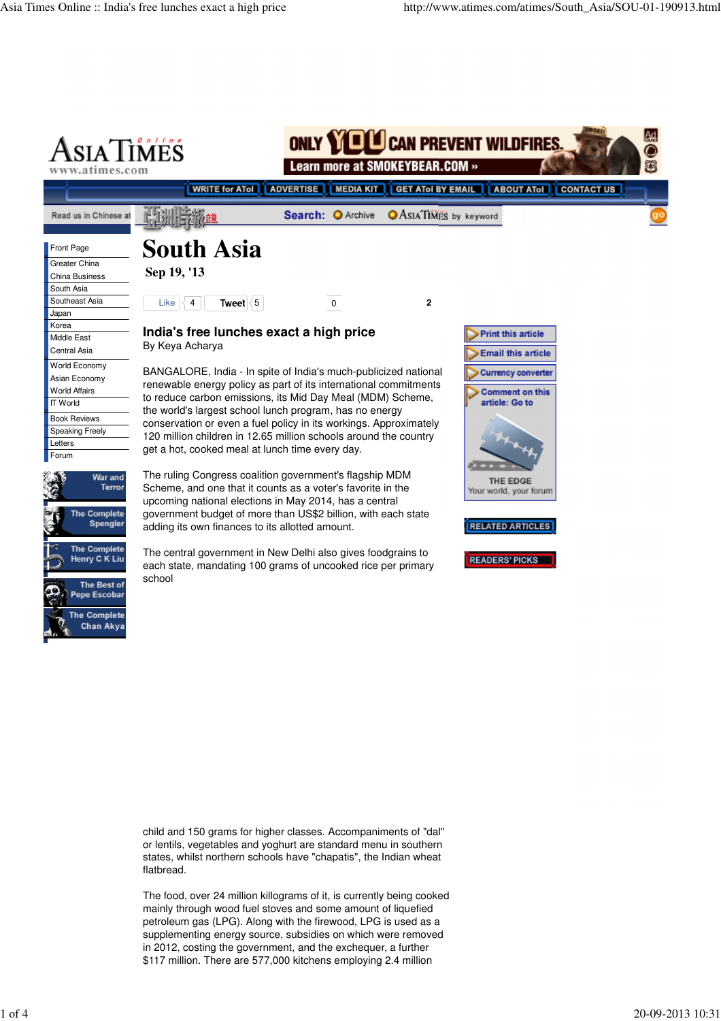

child and 150 grams for higher classes. Accompaniments of "dal" or lentils, vegetables and yoghurt are standard menu in southern states, whilst northern schools have "chapatis", the Indian wheat flatbread.

The food, over 24 million killograms of it, is currently being cooked mainly through wood fuel stoves and some amount of liquefied petroleum gas (LPG). Along with the firewood, LPG is used as a supplementing energy source, subsidies on which were removed in 2012, costing the government, and the exchequer, a further \$117 million. There are 577,000 kitchens employing 2.4 million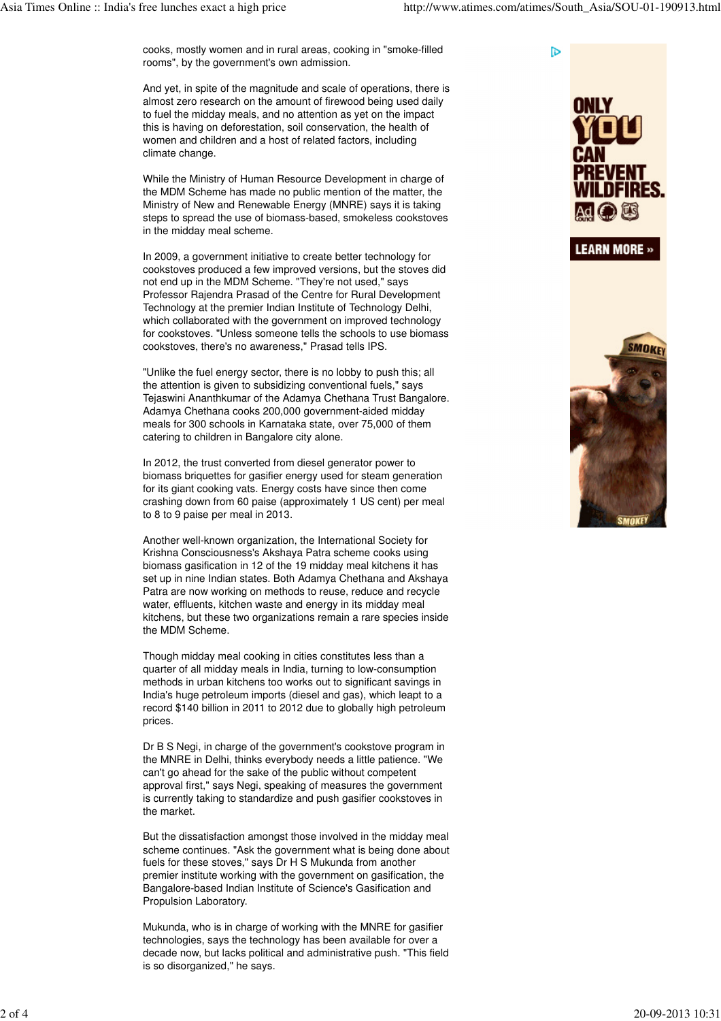**D** 

cooks, mostly women and in rural areas, cooking in "smoke-filled rooms", by the government's own admission.

And yet, in spite of the magnitude and scale of operations, there is almost zero research on the amount of firewood being used daily to fuel the midday meals, and no attention as yet on the impact this is having on deforestation, soil conservation, the health of women and children and a host of related factors, including climate change.

While the Ministry of Human Resource Development in charge of the MDM Scheme has made no public mention of the matter, the Ministry of New and Renewable Energy (MNRE) says it is taking steps to spread the use of biomass-based, smokeless cookstoves in the midday meal scheme.

In 2009, a government initiative to create better technology for cookstoves produced a few improved versions, but the stoves did not end up in the MDM Scheme. "They're not used," says Professor Rajendra Prasad of the Centre for Rural Development Technology at the premier Indian Institute of Technology Delhi, which collaborated with the government on improved technology for cookstoves. "Unless someone tells the schools to use biomass cookstoves, there's no awareness," Prasad tells IPS.

"Unlike the fuel energy sector, there is no lobby to push this; all the attention is given to subsidizing conventional fuels," says Tejaswini Ananthkumar of the Adamya Chethana Trust Bangalore. Adamya Chethana cooks 200,000 government-aided midday meals for 300 schools in Karnataka state, over 75,000 of them catering to children in Bangalore city alone.

In 2012, the trust converted from diesel generator power to biomass briquettes for gasifier energy used for steam generation for its giant cooking vats. Energy costs have since then come crashing down from 60 paise (approximately 1 US cent) per meal to 8 to 9 paise per meal in 2013.

Another well-known organization, the International Society for Krishna Consciousness's Akshaya Patra scheme cooks using biomass gasification in 12 of the 19 midday meal kitchens it has set up in nine Indian states. Both Adamya Chethana and Akshaya Patra are now working on methods to reuse, reduce and recycle water, effluents, kitchen waste and energy in its midday meal kitchens, but these two organizations remain a rare species inside the MDM Scheme.

Though midday meal cooking in cities constitutes less than a quarter of all midday meals in India, turning to low-consumption methods in urban kitchens too works out to significant savings in India's huge petroleum imports (diesel and gas), which leapt to a record \$140 billion in 2011 to 2012 due to globally high petroleum prices.

Dr B S Negi, in charge of the government's cookstove program in the MNRE in Delhi, thinks everybody needs a little patience. "We can't go ahead for the sake of the public without competent approval first," says Negi, speaking of measures the government is currently taking to standardize and push gasifier cookstoves in the market.

But the dissatisfaction amongst those involved in the midday meal scheme continues. "Ask the government what is being done about fuels for these stoves," says Dr H S Mukunda from another premier institute working with the government on gasification, the Bangalore-based Indian Institute of Science's Gasification and Propulsion Laboratory.

Mukunda, who is in charge of working with the MNRE for gasifier technologies, says the technology has been available for over a decade now, but lacks political and administrative push. "This field is so disorganized," he says.